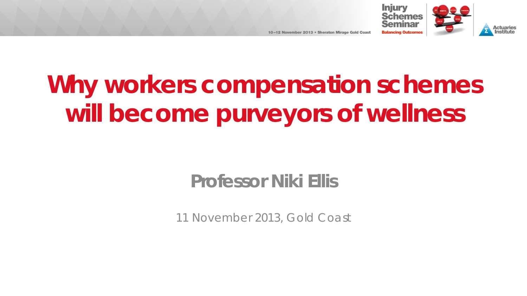

Actuaries

# **Why workers compensation schemes will become purveyors of wellness**

## **Professor Niki Ellis**

11 November 2013, Gold Coast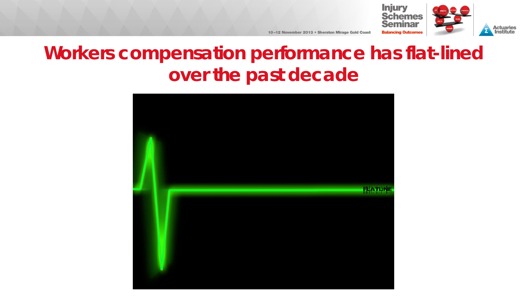

#### **Actuaries**<br>Institute

10-12 November 2013 . Sheraton Mirage Gold Coast

# **Workers compensation performance has flat-lined over the past decade**

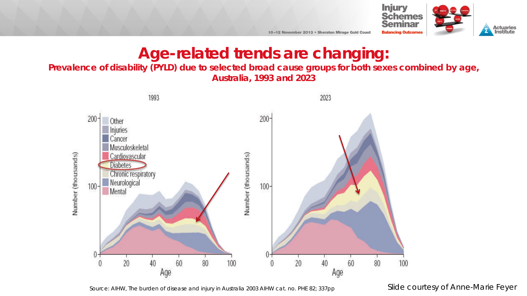

#### **Age-related trends are changing:**

10-12 November 2013 . Sheraton Mirage Gold Coast

#### **Prevalence of disability (PYLD) due to selected broad cause groups for both sexes combined by age, Australia, 1993 and 2023**



#### *Source: AIHW, The burden of disease and injury in Australia 2003 AIHW cat. no. PHE 82; 337pp Slide courtesy of Anne-Marie Feyer*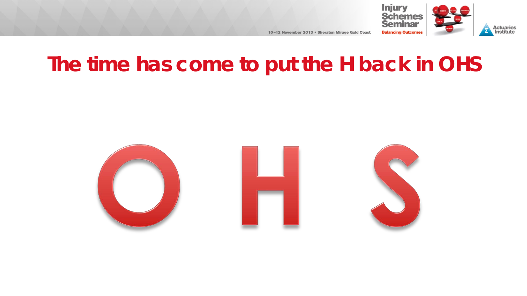

**Actuaries**<br>Institute

# **The time has come to put the H back in OHS**

10-12 November 2013 . Sheraton Mirage Gold Coast

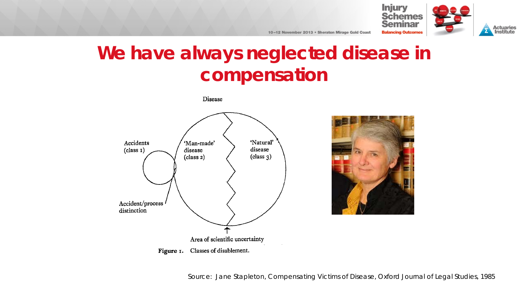



# **We have always neglected disease in compensation**

Disease





*Source: Jane Stapleton, Compensating Victims of Disease, Oxford Journal of Legal Studies, 1985*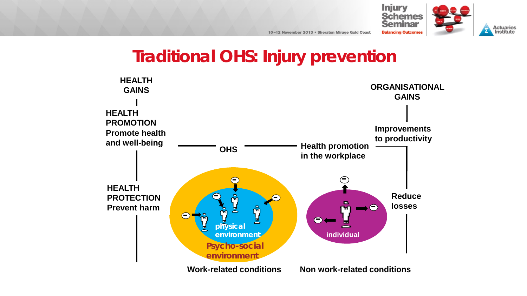

## **Traditional OHS: Injury prevention**

10-12 November 2013 . Sheraton Mirage Gold Coast

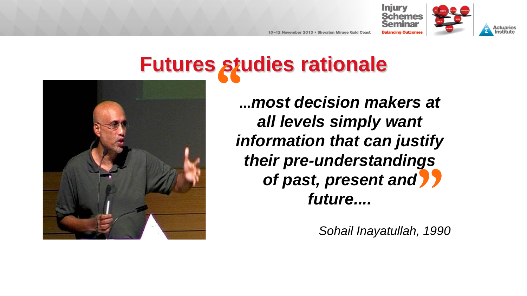

# **Futures studies rationale**



*...most decision makers at all levels simply want information that can justify their pre-understandings of past, present and future....* **" "**<br>, 199

*Sohail Inayatullah, 1990*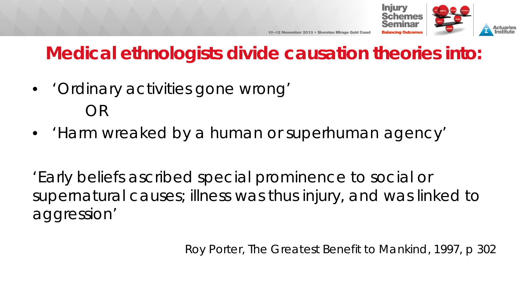

# **Medical ethnologists divide causation theories into:**

- 'Ordinary activities gone wrong' OR
- 'Harm wreaked by a human or superhuman agency'

'Early beliefs ascribed special prominence to social or supernatural causes; illness was thus *injury,* and was linked to aggression'

Roy Porter, The Greatest Benefit to Mankind, 1997, p 302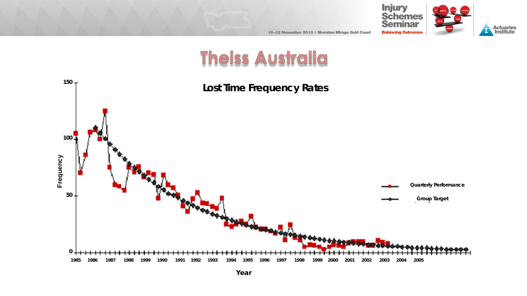



## Theiss Australia

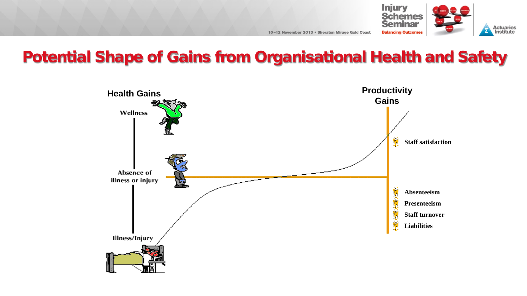

#### Potential Shape of Gains from Organisational Health and Safety

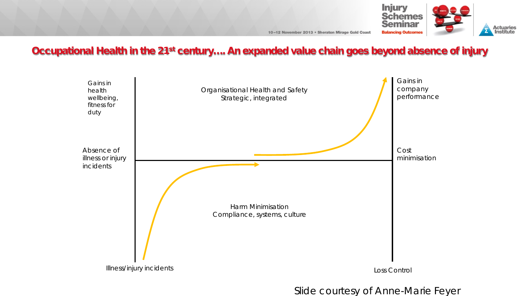

#### Occupational Health in the 21<sup>st</sup> century.... An expanded value chain goes beyond absence of injury



Slide courtesy of Anne-Marie Feyer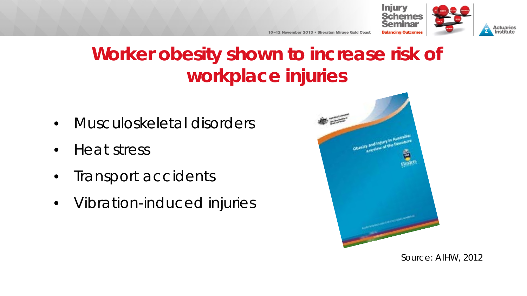



# **Worker obesity shown to increase risk of workplace injuries**

10-12 November 2013 . Sheraton Mirage Gold Coast

- Musculoskeletal disorders
- Heat stress
- Transport accidents
- Vibration-induced injuries



Source: AIHW, 2012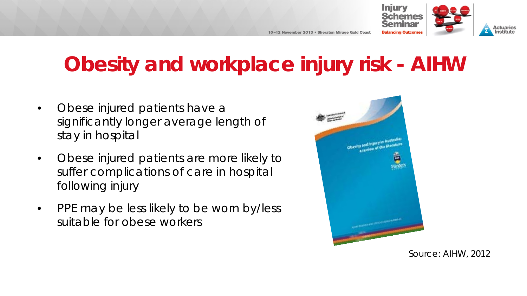



# **Obesity and workplace injury risk - AIHW**

- Obese injured patients have a significantly longer average length of stay in hospital
- Obese injured patients are more likely to suffer complications of care in hospital following injury
- PPE may be less likely to be worn by/less suitable for obese workers



*Source: AIHW, 2012*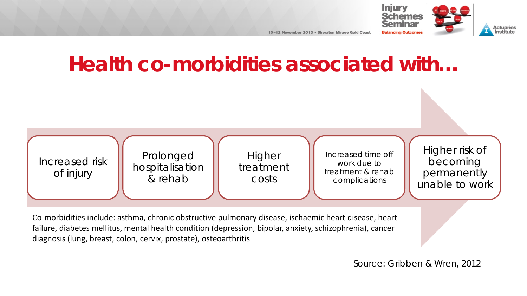



# **Health co-morbidities associated with…**



Co-morbidities include: asthma, chronic obstructive pulmonary disease, ischaemic heart disease, heart failure, diabetes mellitus, mental health condition (depression, bipolar, anxiety, schizophrenia), cancer diagnosis (lung, breast, colon, cervix, prostate), osteoarthritis

#### *Source: Gribben & Wren, 2012*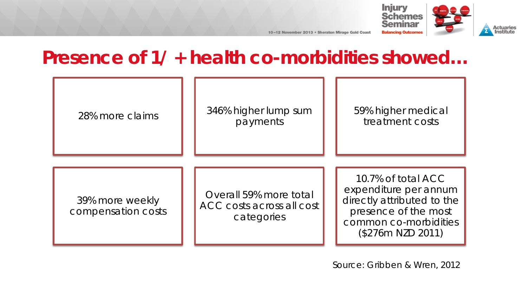

# **Presence of 1/ + health co-morbidities showed…**

| 28% more claims                       | 346% higher lump sum<br>payments                                  | 59% higher medical<br>treatment costs                                                                                                           |
|---------------------------------------|-------------------------------------------------------------------|-------------------------------------------------------------------------------------------------------------------------------------------------|
| 39% more weekly<br>compensation costs | Overall 59% more total<br>ACC costs across all cost<br>categories | 10.7% of total ACC<br>expenditure per annum<br>directly attributed to the<br>presence of the most<br>common co-morbidities<br>(\$276m NZD 2011) |

*Source: Gribben & Wren, 2012*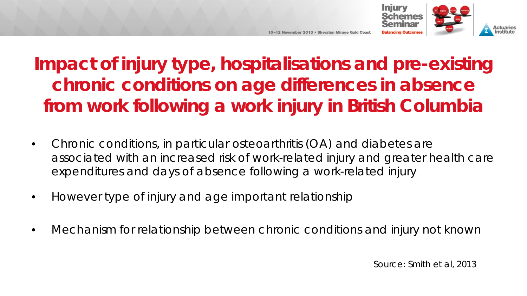

**Impact of injury type, hospitalisations and pre-existing chronic conditions on age differences in absence from work following a work injury in British Columbia**

10-12 November 2013 • Sheraton Mirage Gold Coas

- Chronic conditions, in particular osteoarthritis (OA) and diabetes are associated with an increased risk of work-related injury and greater health care expenditures and days of absence following a work-related injury
- However type of injury and age important relationship
- Mechanism for relationship between chronic conditions and injury not known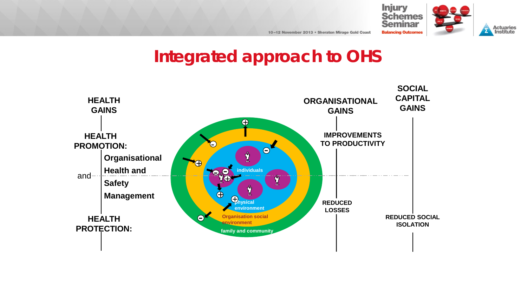

#### **Actuaries**<br>Institute

## **Integrated approach to OHS**

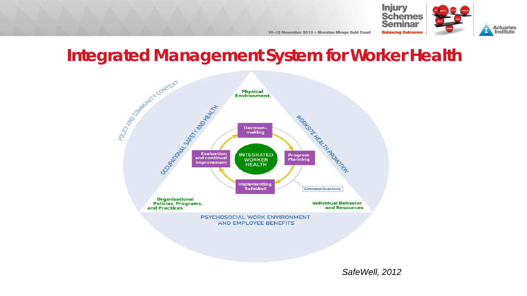

## **Integrated Management System for Worker Health**



*SafeWell, 2012*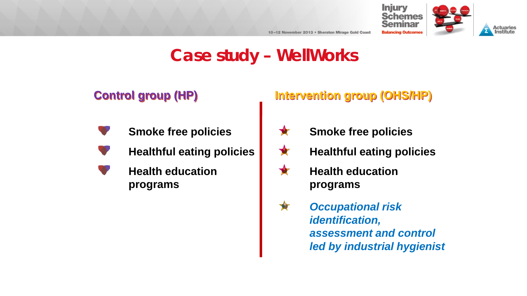



# **Case study – WellWorks**

#### **Control group (HP)**

#### **Smoke free policies**

- **Healthful eating policies**
- **Health education programs**

#### **Intervention group (OHS/HP)**

- **Smoke free policies** X
- **Healthful eating policies** X
- Ŷ **Health education programs**
- **A** *Occupational risk identification, assessment and control led by industrial hygienist*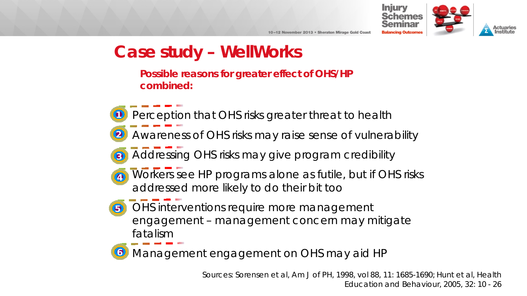

## **Case study – WellWorks**

**Possible reasons for greater effect of OHS/HP combined:**

Perception that OHS risks greater threat to health Awareness of OHS risks may raise sense of vulnerability Addressing OHS risks may give program credibility a) Workers see HP programs alone as futile, but if OHS risks addressed more likely to do their bit too **6** OHS interventions require more management engagement – management concern may mitigate 1 2 3

fatalism

Management engagement on OHS may aid HP 6

> *Sources: Sorensen et al, Am J of PH, 1998, vol 88, 11: 1685-1690; Hunt et al, Health Education and Behaviour, 2005, 32: 10 - 26*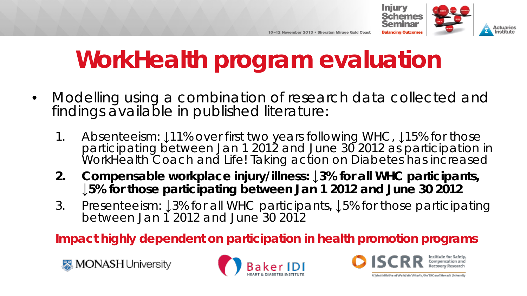

# **WorkHealth program evaluation**

- Modelling using a combination of research data collected and findings available in published literature:
	- 1. Absenteeism: ↓11% over first two years following WHC, ↓15% for those participating between Jan 1 2012 and June 30 2012 as participation in WorkHealth Coach and Life! Taking action on Diabetes has increased
	- **2. Compensable workplace injury/illness: ↓3% for all WHC participants, ↓5% for those participating between Jan 1 2012 and June 30 2012**
	- 3. Presenteeism: ↓3% for all WHC participants, ↓5% for those participating between Jan 1 2012 and June 30 2012

**Impact highly dependent on participation in health promotion programs**





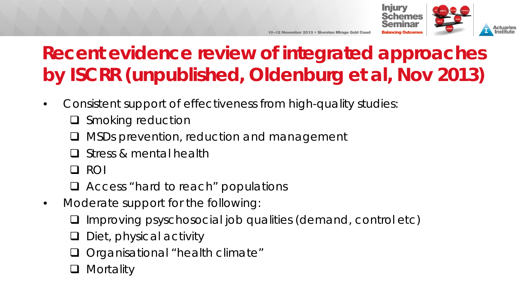

# **Recent evidence review of integrated approaches by ISCRR (unpublished, Oldenburg et al, Nov 2013)**

10-12 November 2013 . Sheraton Mirage Gold Coas

- Consistent support of effectiveness from high-quality studies:
	- $\Box$  Smoking reduction
	- MSDs prevention, reduction and management
	- Stress & mental health
	- Q ROI
	- Access "hard to reach" populations
- Moderate support for the following:
	- $\Box$  Improving psyschosocial job qualities (demand, control etc)
	- $\Box$  Diet, physical activity
	- □ Organisational "health climate"
	- **Mortality**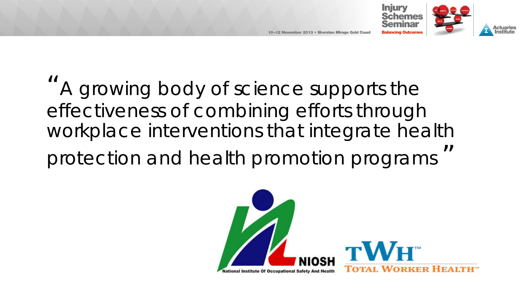

# "A growing body of science supports the effectiveness of combining efforts through workplace interventions that integrate health protection and health promotion programs "

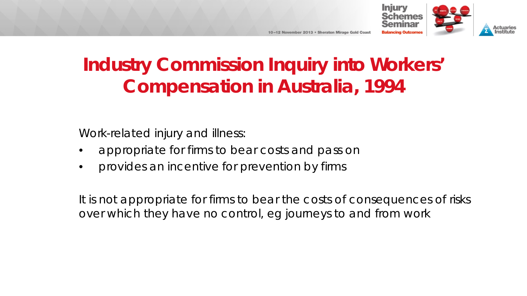



Work-related injury and illness:

- appropriate for firms to bear costs and pass on
- provides an incentive for prevention by firms

It is not appropriate for firms to bear the costs of consequences of risks over which they have no control, eg journeys to and from work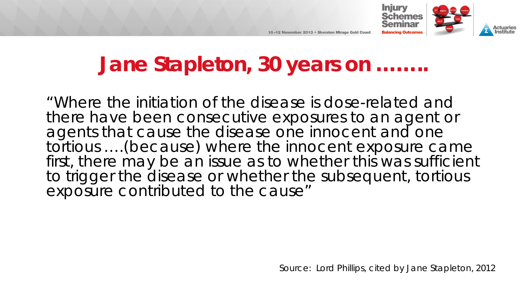

Actuaries

# **Jane Stapleton, 30 years on ……..**

10-12 November 2013 • Sheraton Mirage Gold Coas

"Where the initiation of the disease is dose-related and there have been consecutive exposures to an agent or agents that cause the disease one innocent and one tortious ….(because) where the innocent exposure came first, there may be an issue as to whether this was sufficient to trigger the disease or whether the subsequent, tortious exposure contributed to the cause"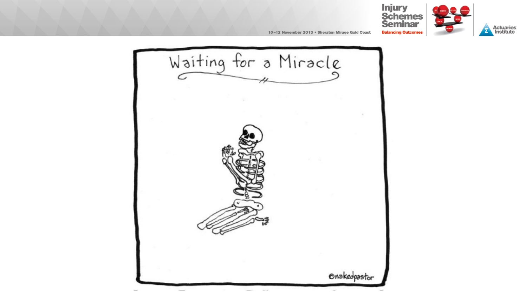



**Actuaries**<br>Institute

10-12 November 2013 . Sheraton Mirage Gold Coast

Waiting for a Miracle Onakedpastor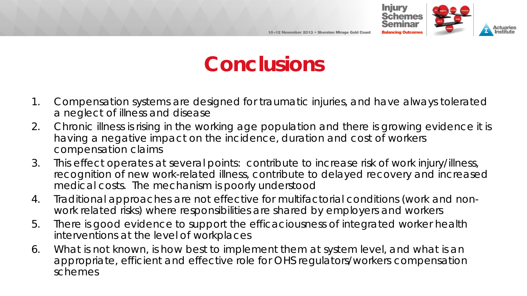

# **Conclusions**

- 1. Compensation systems are designed for traumatic injuries, and have always tolerated a neglect of illness and disease
- 2. Chronic illness is rising in the working age population and there is growing evidence it is having a negative impact on the incidence, duration and cost of workers compensation claims
- 3. This effect operates at several points: contribute to increase risk of work injury/illness, recognition of new work-related illness, contribute to delayed recovery and increased medical costs. The mechanism is poorly understood
- 4. Traditional approaches are not effective for multifactorial conditions (work and nonwork related risks) where responsibilities are shared by employers and workers
- 5. There is good evidence to support the efficaciousness of integrated worker health interventions at the level of workplaces
- 6. What is not known, is how best to implement them at system level, and what is an appropriate, efficient and effective role for OHS regulators/workers compensation schemes